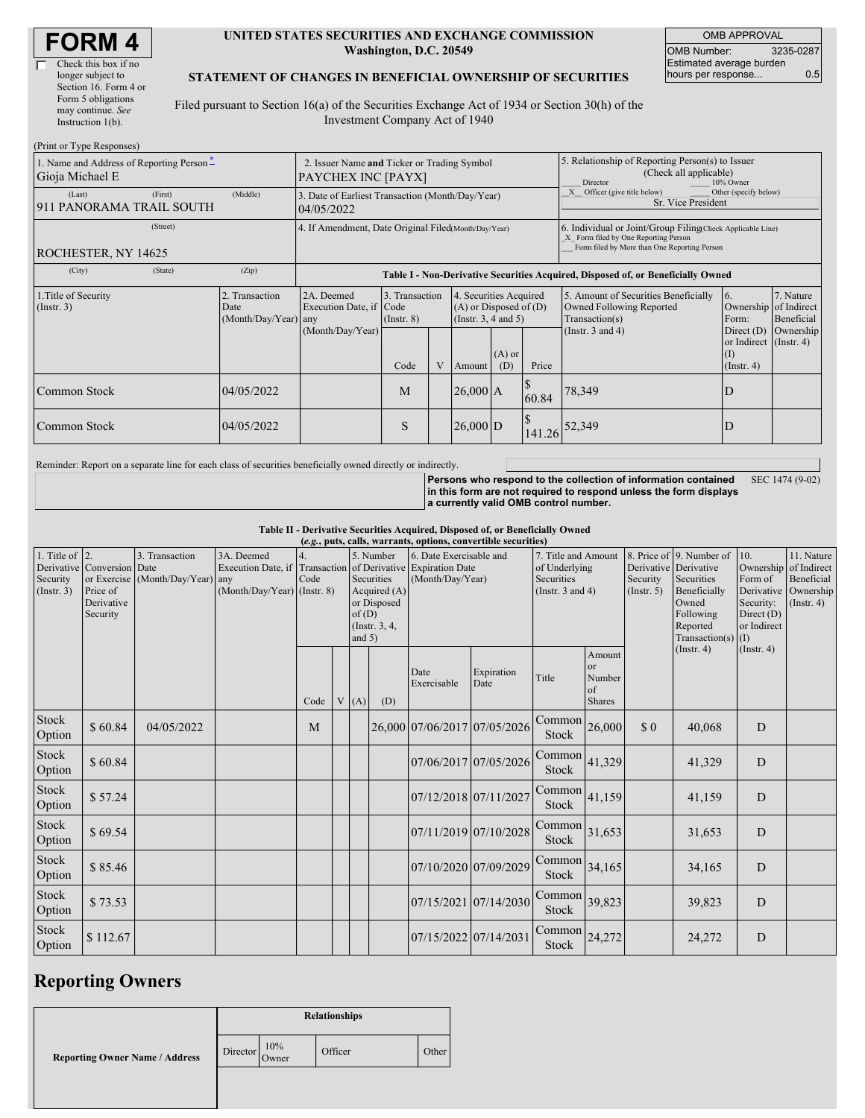| <b>FORM4</b> |
|--------------|
|--------------|

| Check this box if no  |
|-----------------------|
| longer subject to     |
| Section 16. Form 4 or |
| Form 5 obligations    |
| may continue. See     |
| Instruction 1(b).     |
|                       |

 $(D_{\text{wint on}}$  Type  $D$ 

#### **UNITED STATES SECURITIES AND EXCHANGE COMMISSION Washington, D.C. 20549**

OMB APPROVAL OMB Number: 3235-0287 Estimated average burden hours per response... 0.5

#### **STATEMENT OF CHANGES IN BENEFICIAL OWNERSHIP OF SECURITIES**

Filed pursuant to Section 16(a) of the Securities Exchange Act of 1934 or Section 30(h) of the Investment Company Act of 1940

| (FILIII OF TYPE RESPOISES)                                  |                                                                                                                                                                                                                  |                                                                |                                                                                  |                                                                                    |                                                  |                                                                                                                                                    |                                                                                                     |                                                                           |                                                            |           |  |
|-------------------------------------------------------------|------------------------------------------------------------------------------------------------------------------------------------------------------------------------------------------------------------------|----------------------------------------------------------------|----------------------------------------------------------------------------------|------------------------------------------------------------------------------------|--------------------------------------------------|----------------------------------------------------------------------------------------------------------------------------------------------------|-----------------------------------------------------------------------------------------------------|---------------------------------------------------------------------------|------------------------------------------------------------|-----------|--|
| 1. Name and Address of Reporting Person-<br>Gioja Michael E | 2. Issuer Name and Ticker or Trading Symbol<br>PAYCHEX INC [PAYX]                                                                                                                                                |                                                                |                                                                                  |                                                                                    |                                                  |                                                                                                                                                    | 5. Relationship of Reporting Person(s) to Issuer<br>(Check all applicable)<br>Director<br>10% Owner |                                                                           |                                                            |           |  |
| (First)<br>(Last)<br>911 PANORAMA TRAIL SOUTH               | (Middle)                                                                                                                                                                                                         | 3. Date of Earliest Transaction (Month/Day/Year)<br>04/05/2022 |                                                                                  |                                                                                    |                                                  |                                                                                                                                                    |                                                                                                     | Officer (give title below)<br>Other (specify below)<br>Sr. Vice President |                                                            |           |  |
| (Street)<br>ROCHESTER, NY 14625                             | 4. If Amendment, Date Original Filed Month/Day/Year)                                                                                                                                                             |                                                                |                                                                                  |                                                                                    |                                                  | 6. Individual or Joint/Group Filing Check Applicable Line)<br>X Form filed by One Reporting Person<br>Form filed by More than One Reporting Person |                                                                                                     |                                                                           |                                                            |           |  |
| (City)<br>(State)                                           | (Zip)                                                                                                                                                                                                            |                                                                | Table I - Non-Derivative Securities Acquired, Disposed of, or Beneficially Owned |                                                                                    |                                                  |                                                                                                                                                    |                                                                                                     |                                                                           |                                                            |           |  |
| 1. Title of Security<br>(Insert. 3)                         | 2. Transaction<br>2A. Deemed<br>4. Securities Acquired<br>3. Transaction<br>Execution Date, if Code<br>$(A)$ or Disposed of $(D)$<br>Date<br>(Month/Day/Year) any<br>(Instr. $3, 4$ and $5$ )<br>$($ Instr. $8)$ |                                                                |                                                                                  | 5. Amount of Securities Beneficially<br>Owned Following Reported<br>Transaction(s) | 7. Nature<br>Ownership of Indirect<br>Beneficial |                                                                                                                                                    |                                                                                                     |                                                                           |                                                            |           |  |
|                                                             |                                                                                                                                                                                                                  | (Month/Day/Year)                                               | Code                                                                             | V                                                                                  | Amount                                           | $(A)$ or<br>(D)                                                                                                                                    | Price                                                                                               | (Instr. $3$ and $4$ )                                                     | Direct (D)<br>or Indirect (Instr. 4)<br>(1)<br>(Insert. 4) | Ownership |  |
| <b>Common Stock</b>                                         | 04/05/2022                                                                                                                                                                                                       |                                                                | M                                                                                |                                                                                    | $26,000$ A                                       |                                                                                                                                                    | 60.84                                                                                               | 78,349                                                                    | D                                                          |           |  |
| <b>Common Stock</b>                                         | 04/05/2022                                                                                                                                                                                                       |                                                                | S                                                                                |                                                                                    | $26,000$ D                                       |                                                                                                                                                    | 141.26                                                                                              | 52,349                                                                    | D                                                          |           |  |

Reminder: Report on a separate line for each class of securities beneficially owned directly or indirectly.

**Persons who respond to the collection of information contained in this form are not required to respond unless the form displays a currently valid OMB control number.** SEC 1474 (9-02)

**Table II - Derivative Securities Acquired, Disposed of, or Beneficially Owned**

| (e.g., puts, calls, warrants, options, convertible securities) |                                                                  |                                                    |                                                                   |      |  |                    |                                                                           |                                                                                          |                       |                                                                             |                                                          |                                                  |                                                                                                            |                                                                                 |                                                                               |
|----------------------------------------------------------------|------------------------------------------------------------------|----------------------------------------------------|-------------------------------------------------------------------|------|--|--------------------|---------------------------------------------------------------------------|------------------------------------------------------------------------------------------|-----------------------|-----------------------------------------------------------------------------|----------------------------------------------------------|--------------------------------------------------|------------------------------------------------------------------------------------------------------------|---------------------------------------------------------------------------------|-------------------------------------------------------------------------------|
| 1. Title of $ 2$ .<br>Security<br>(Insert. 3)                  | Derivative Conversion Date<br>Price of<br>Derivative<br>Security | 3. Transaction<br>or Exercise (Month/Day/Year) any | 3A. Deemed<br>Execution Date, if<br>$(Month/Day/Year)$ (Instr. 8) | Code |  | of(D)<br>and $5$ ) | 5. Number<br>Securities<br>Acquired $(A)$<br>or Disposed<br>(Instr. 3, 4, | 6. Date Exercisable and<br>Transaction of Derivative Expiration Date<br>(Month/Day/Year) |                       | 7. Title and Amount<br>of Underlying<br>Securities<br>(Instr. $3$ and $4$ ) |                                                          | Derivative Derivative<br>Security<br>(Insert. 5) | 8. Price of 9. Number of<br>Securities<br>Beneficially<br>Owned<br>Following<br>Reported<br>Transaction(s) | 10.<br>Form of<br>Derivative<br>Security:<br>Direct $(D)$<br>or Indirect<br>(1) | 11. Nature<br>Ownership of Indirect<br>Beneficial<br>Ownership<br>(Insert. 4) |
|                                                                |                                                                  |                                                    |                                                                   | Code |  | V(A)               | (D)                                                                       | Date<br>Exercisable                                                                      | Expiration<br>Date    | Title                                                                       | Amount<br><sub>or</sub><br>Number<br>of<br><b>Shares</b> |                                                  | (Insert. 4)                                                                                                | (Insert. 4)                                                                     |                                                                               |
| Stock<br>Option                                                | \$60.84                                                          | 04/05/2022                                         |                                                                   | M    |  |                    |                                                                           | 26,000 07/06/2017 07/05/2026                                                             |                       | Common<br>Stock                                                             | 26,000                                                   | $\boldsymbol{\mathsf{S}}$ 0                      | 40,068                                                                                                     | D                                                                               |                                                                               |
| Stock<br>Option                                                | \$60.84                                                          |                                                    |                                                                   |      |  |                    |                                                                           |                                                                                          | 07/06/2017 07/05/2026 | Common<br>Stock                                                             | 41,329                                                   |                                                  | 41,329                                                                                                     | D                                                                               |                                                                               |
| Stock<br>Option                                                | \$57.24                                                          |                                                    |                                                                   |      |  |                    |                                                                           | 07/12/2018 07/11/2027                                                                    |                       | Common<br>Stock                                                             | 41,159                                                   |                                                  | 41,159                                                                                                     | D                                                                               |                                                                               |
| Stock<br>Option                                                | \$69.54                                                          |                                                    |                                                                   |      |  |                    |                                                                           | 07/11/2019 07/10/2028                                                                    |                       | Common<br>Stock                                                             | 31,653                                                   |                                                  | 31,653                                                                                                     | D                                                                               |                                                                               |
| Stock<br>Option                                                | \$85.46                                                          |                                                    |                                                                   |      |  |                    |                                                                           | 07/10/2020 07/09/2029                                                                    |                       | Common<br><b>Stock</b>                                                      | 34,165                                                   |                                                  | 34,165                                                                                                     | D                                                                               |                                                                               |
| Stock<br>Option                                                | \$73.53                                                          |                                                    |                                                                   |      |  |                    |                                                                           | 07/15/2021 07/14/2030                                                                    |                       | Common<br>Stock                                                             | 39,823                                                   |                                                  | 39,823                                                                                                     | D                                                                               |                                                                               |
| Stock<br>Option                                                | \$112.67                                                         |                                                    |                                                                   |      |  |                    |                                                                           | 07/15/2022 07/14/2031                                                                    |                       | Common<br>Stock                                                             | 24,272                                                   |                                                  | 24,272                                                                                                     | D                                                                               |                                                                               |

## **Reporting Owners**

**Reporting Owner Name / Address Relationships** Director 10% Owner Officer Other